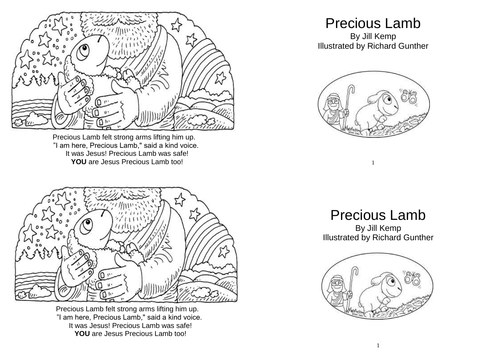

Precious Lamb felt strong arms lifting him up. "I am here, Precious Lamb," said a kind voice. It was Jesus! Precious Lamb was safe! YOU are Jesus Precious Lamb too!



Precious Lamb felt strong arms lifting him up. "I am here, Precious Lamb," said a kind voice. It was Jesus! Precious Lamb was safe! **YOU** are Jesus Precious Lamb too!

## Precious Lamb

By Jill Kemp Illustrated by Richard Gunther



1

## Precious Lamb

By Jill Kemp Illustrated by Richard Gunther

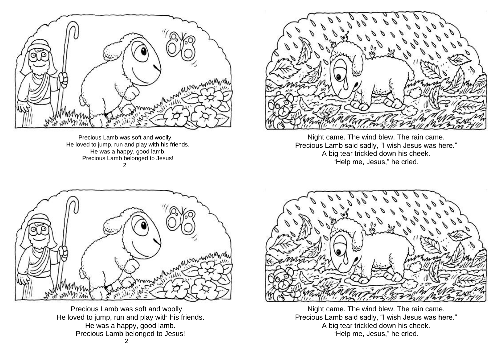

Precious Lamb was soft and woolly. He loved to jump, run and play with his friends. He was a happy, good lamb. Precious Lamb belonged to Jesus! 2



Night came. The wind blew. The rain came. Precious Lamb said sadly, "I wish Jesus was here." A big tear trickled down his cheek. "Help me, Jesus," he cried.



Precious Lamb was soft and woolly. He loved to jump, run and play with his friends. He was a happy, good lamb. Precious Lamb belonged to Jesus!



Night came. The wind blew. The rain came. Precious Lamb said sadly, "I wish Jesus was here." A big tear trickled down his cheek. "Help me, Jesus," he cried.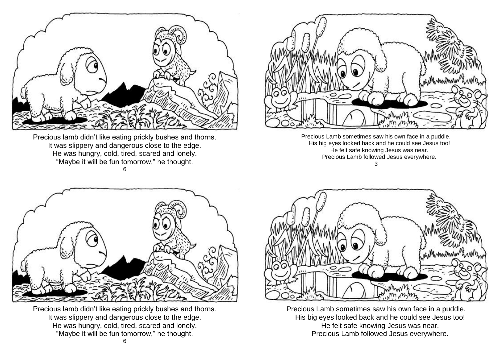

Precious lamb didn't like eating prickly bushes and thorns. It was slippery and dangerous close to the edge. He was hungry, cold, tired, scared and lonely. "Maybe it will be fun tomorrow," he thought. 6



Precious Lamb sometimes saw his own face in a puddle. His big eyes looked back and he could see Jesus too! He felt safe knowing Jesus was near. Precious Lamb followed Jesus everywhere. 3



Precious lamb didn't like eating prickly bushes and thorns. It was slippery and dangerous close to the edge. He was hungry, cold, tired, scared and lonely. "Maybe it will be fun tomorrow," he thought.



Precious Lamb sometimes saw his own face in a puddle. His big eyes looked back and he could see Jesus too! He felt safe knowing Jesus was near. Precious Lamb followed Jesus everywhere.